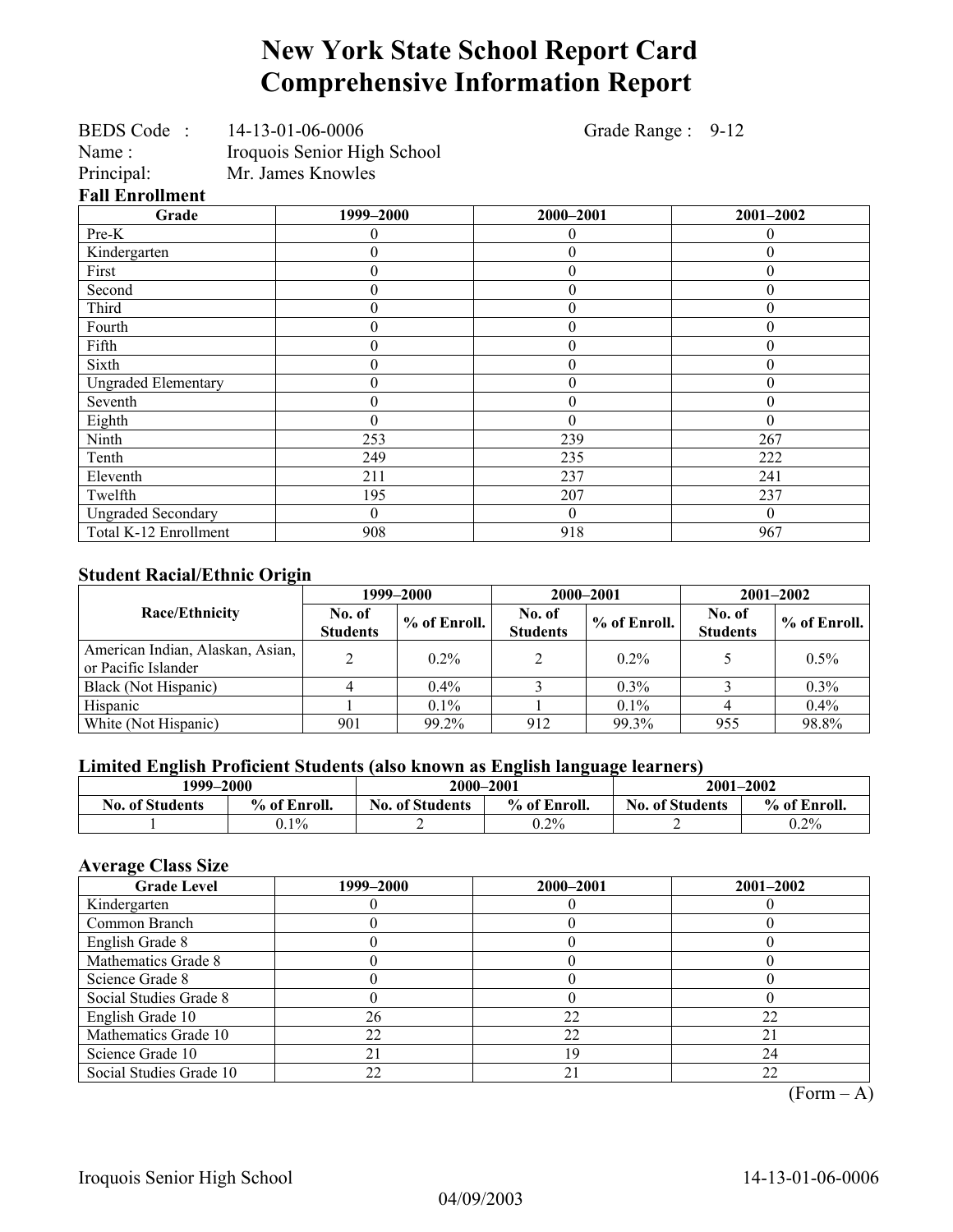# **New York State School Report Card Comprehensive Information Report**

Grade Range : 9-12

| <b>BEDS</b> Code       | 14-13-01-06-0006            |                                   |
|------------------------|-----------------------------|-----------------------------------|
| Name:                  | Iroquois Senior High School |                                   |
| Principal:             | Mr. James Knowles           |                                   |
| <b>Fall Enrollment</b> |                             |                                   |
|                        |                             | $\bullet \bullet \bullet \bullet$ |

| all Enrollment             |           |                  |           |  |  |  |  |
|----------------------------|-----------|------------------|-----------|--|--|--|--|
| Grade                      | 1999-2000 | 2000-2001        | 2001-2002 |  |  |  |  |
| Pre-K                      |           | 0                | 0         |  |  |  |  |
| Kindergarten               |           | $\boldsymbol{0}$ | 0         |  |  |  |  |
| First                      | 0         | $\boldsymbol{0}$ | $\theta$  |  |  |  |  |
| Second                     | 0         | $\theta$         | $\theta$  |  |  |  |  |
| Third                      | 0         | $\boldsymbol{0}$ | 0         |  |  |  |  |
| Fourth                     | 0         | $\boldsymbol{0}$ | 0         |  |  |  |  |
| Fifth                      | 0         | $\theta$         | 0         |  |  |  |  |
| Sixth                      | 0         | $\theta$         | $\Omega$  |  |  |  |  |
| <b>Ungraded Elementary</b> | 0         | $\theta$         | $\theta$  |  |  |  |  |
| Seventh                    | 0         | $\boldsymbol{0}$ | $\theta$  |  |  |  |  |
| Eighth                     | 0         | $\theta$         | $\theta$  |  |  |  |  |
| Ninth                      | 253       | 239              | 267       |  |  |  |  |
| Tenth                      | 249       | 235              | 222       |  |  |  |  |
| Eleventh                   | 211       | 237              | 241       |  |  |  |  |
| Twelfth                    | 195       | 207              | 237       |  |  |  |  |
| <b>Ungraded Secondary</b>  | 0         | $\theta$         | $\theta$  |  |  |  |  |
| Total K-12 Enrollment      | 908       | 918              | 967       |  |  |  |  |

### **Student Racial/Ethnic Origin**

|                                                         |                           | 1999–2000    | 2000-2001                 |                | $2001 - 2002$             |              |
|---------------------------------------------------------|---------------------------|--------------|---------------------------|----------------|---------------------------|--------------|
| <b>Race/Ethnicity</b>                                   | No. of<br><b>Students</b> | % of Enroll. | No. of<br><b>Students</b> | $%$ of Enroll. | No. of<br><b>Students</b> | % of Enroll. |
| American Indian, Alaskan, Asian,<br>or Pacific Islander | ↑                         | $0.2\%$      |                           | $0.2\%$        |                           | $0.5\%$      |
| Black (Not Hispanic)                                    |                           | $0.4\%$      |                           | $0.3\%$        |                           | $0.3\%$      |
| Hispanic                                                |                           | $0.1\%$      |                           | $0.1\%$        |                           | $0.4\%$      |
| White (Not Hispanic)                                    | 901                       | 99.2%        | 912                       | 99.3%          | 955                       | 98.8%        |

### **Limited English Proficient Students (also known as English language learners)**

| 1999–2000              |              | 2000-2001              |              | $2001 - 2002$          |              |  |
|------------------------|--------------|------------------------|--------------|------------------------|--------------|--|
| <b>No. of Students</b> | % of Enroll. | <b>No. of Students</b> | % of Enroll. | <b>No. of Students</b> | % of Enroll. |  |
|                        | $0.1\%$      | -                      | $0.2\%$      | ∸                      | $0.2\%$      |  |

### **Average Class Size**

| <b>Grade Level</b>      | 1999–2000 | 2000-2001 | $2001 - 2002$ |
|-------------------------|-----------|-----------|---------------|
| Kindergarten            |           |           |               |
| Common Branch           |           |           |               |
| English Grade 8         |           |           |               |
| Mathematics Grade 8     |           |           |               |
| Science Grade 8         |           |           |               |
| Social Studies Grade 8  |           |           |               |
| English Grade 10        | 26        | 22        | 22            |
| Mathematics Grade 10    | 22        | 22        |               |
| Science Grade 10        |           | 19        | 24            |
| Social Studies Grade 10 | 22        | 21        | 22            |

 $(Form – A)$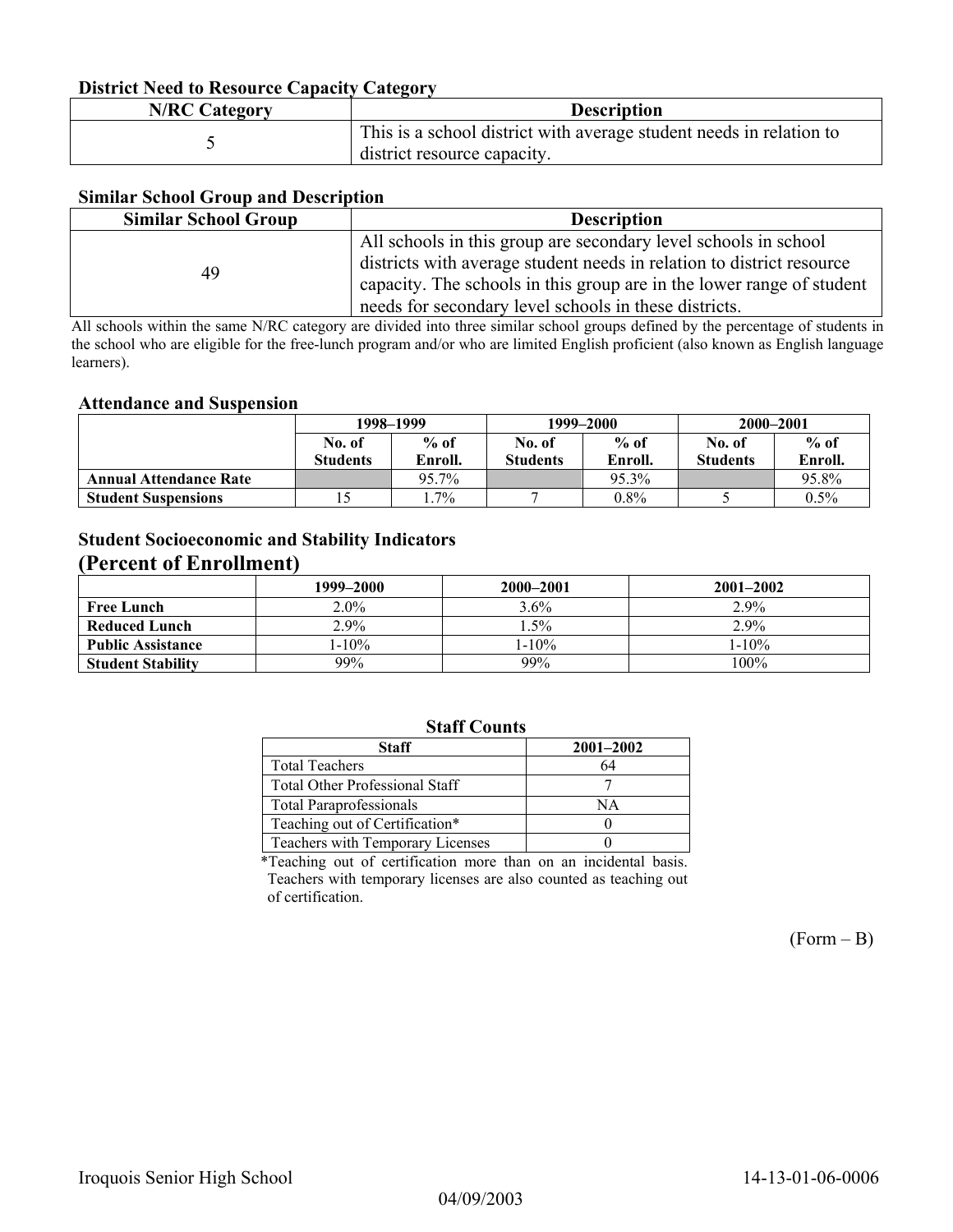### **District Need to Resource Capacity Category**

| <b>N/RC Category</b> | <b>Description</b>                                                                                 |
|----------------------|----------------------------------------------------------------------------------------------------|
|                      | This is a school district with average student needs in relation to<br>district resource capacity. |

### **Similar School Group and Description**

| <b>Similar School Group</b> | <b>Description</b>                                                    |
|-----------------------------|-----------------------------------------------------------------------|
|                             | All schools in this group are secondary level schools in school       |
| 49                          | districts with average student needs in relation to district resource |
|                             | capacity. The schools in this group are in the lower range of student |
|                             | needs for secondary level schools in these districts.                 |

All schools within the same N/RC category are divided into three similar school groups defined by the percentage of students in the school who are eligible for the free-lunch program and/or who are limited English proficient (also known as English language learners).

#### **Attendance and Suspension**

|                               | 1998–1999        |         |                 | 1999–2000 | 2000-2001       |         |
|-------------------------------|------------------|---------|-----------------|-----------|-----------------|---------|
|                               | $%$ of<br>No. of |         | No. of          | $%$ of    | No. of          | $%$ of  |
|                               | <b>Students</b>  | Enroll. | <b>Students</b> | Enroll.   | <b>Students</b> | Enroll. |
| <b>Annual Attendance Rate</b> |                  | 95.7%   |                 | 95.3%     |                 | 95.8%   |
| <b>Student Suspensions</b>    |                  | $.7\%$  |                 | $0.8\%$   |                 | $0.5\%$ |

### **Student Socioeconomic and Stability Indicators (Percent of Enrollment)**

|                          | 1999-2000 | 2000-2001  | $2001 - 2002$ |
|--------------------------|-----------|------------|---------------|
| <b>Free Lunch</b>        | $2.0\%$   | $3.6\%$    | $2.9\%$       |
| <b>Reduced Lunch</b>     | 2.9%      | $.5\%$     | 2.9%          |
| <b>Public Assistance</b> | $1-10\%$  | $1 - 10\%$ | $1 - 10\%$    |
| <b>Student Stability</b> | 99%       | 99%        | 100%          |

### **Staff Counts**

| Staff                                 | $2001 - 2002$ |
|---------------------------------------|---------------|
| <b>Total Teachers</b>                 | 64            |
| <b>Total Other Professional Staff</b> |               |
| <b>Total Paraprofessionals</b>        | NΑ            |
| Teaching out of Certification*        |               |
| Teachers with Temporary Licenses      |               |

\*Teaching out of certification more than on an incidental basis. Teachers with temporary licenses are also counted as teaching out of certification.

 $(Form - B)$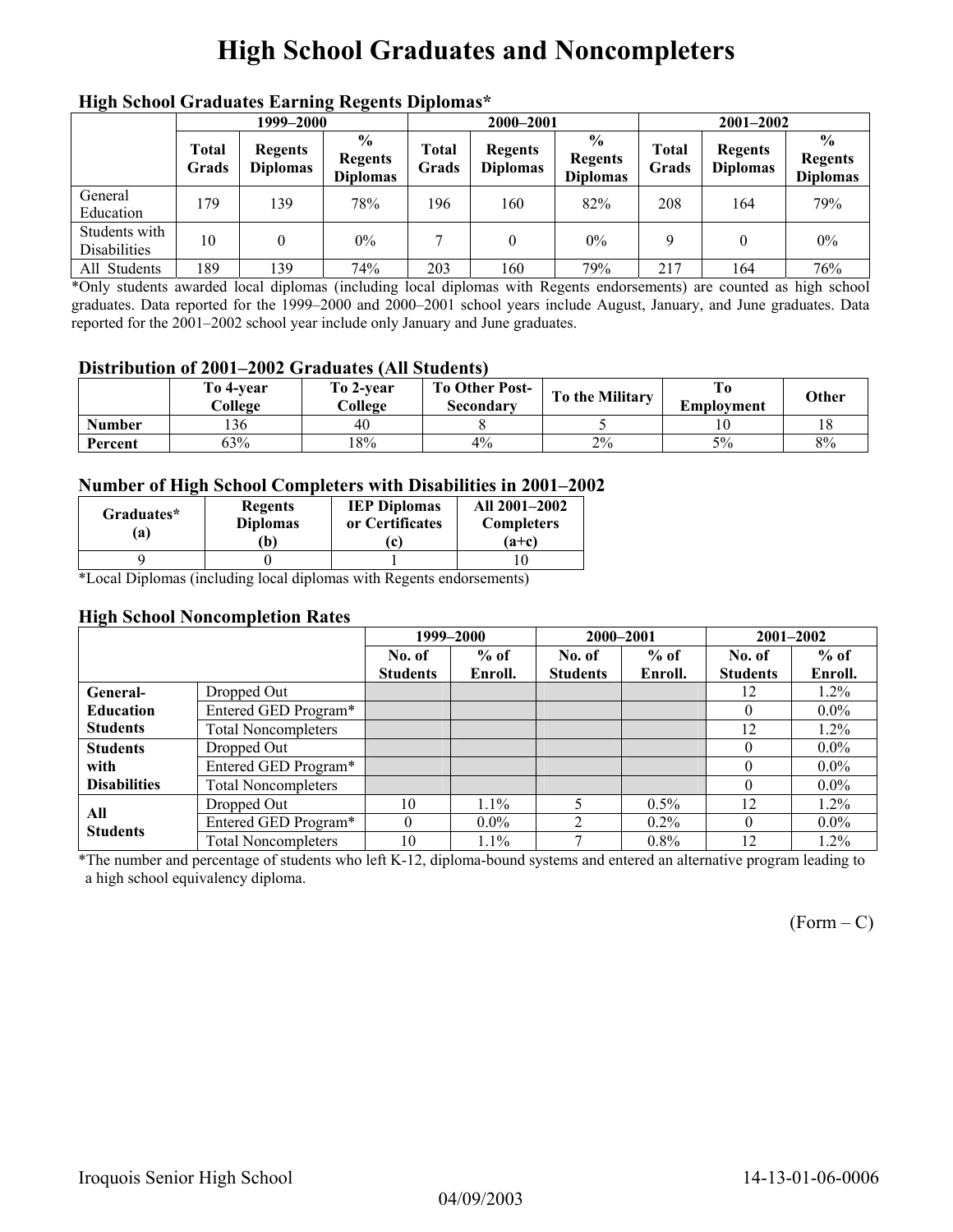# **High School Graduates and Noncompleters**

|                                      | mga senyor sragaato narang regents Dipromas<br>1999–2000 |                                   |                                                    |                       | 2000-2001                         |                                                    |                | $2001 - 2002$                     |                                                    |  |
|--------------------------------------|----------------------------------------------------------|-----------------------------------|----------------------------------------------------|-----------------------|-----------------------------------|----------------------------------------------------|----------------|-----------------------------------|----------------------------------------------------|--|
|                                      | <b>Total</b><br>Grads                                    | <b>Regents</b><br><b>Diplomas</b> | $\frac{6}{9}$<br><b>Regents</b><br><b>Diplomas</b> | <b>Total</b><br>Grads | <b>Regents</b><br><b>Diplomas</b> | $\frac{0}{0}$<br><b>Regents</b><br><b>Diplomas</b> | Total<br>Grads | <b>Regents</b><br><b>Diplomas</b> | $\frac{0}{0}$<br><b>Regents</b><br><b>Diplomas</b> |  |
| General<br>Education                 | 179                                                      | 139                               | 78%                                                | 196                   | 160                               | 82%                                                | 208            | 164                               | 79%                                                |  |
| Students with<br><b>Disabilities</b> | 10                                                       | 0                                 | $0\%$                                              |                       | 0                                 | $0\%$                                              | 9              | $\theta$                          | $0\%$                                              |  |
| All Students                         | 189                                                      | 139                               | 74%                                                | 203                   | 160                               | 79%                                                | 217            | 164                               | 76%                                                |  |

### **High School Graduates Earning Regents Diplomas\***

\*Only students awarded local diplomas (including local diplomas with Regents endorsements) are counted as high school graduates. Data reported for the 1999–2000 and 2000–2001 school years include August, January, and June graduates. Data reported for the 2001–2002 school year include only January and June graduates.

#### **Distribution of 2001–2002 Graduates (All Students)**

|               | To 4-vear<br>College | To 2-vear<br>College | <b>To Other Post-</b><br>Secondary | To the Military | Emplovment | Other |
|---------------|----------------------|----------------------|------------------------------------|-----------------|------------|-------|
| <b>Number</b> | 136                  | 40                   |                                    |                 |            |       |
| Percent       | 63%                  | 18%                  | 4%                                 | 2%              | 5%         | 8%    |

#### **Number of High School Completers with Disabilities in 2001–2002**

| Graduates*<br>$\mathbf{a}$ | <b>Regents</b><br><b>Diplomas</b><br>b) | <b>IEP Diplomas</b><br>or Certificates<br>l c' | All 2001-2002<br><b>Completers</b><br>$(a+c)$ |
|----------------------------|-----------------------------------------|------------------------------------------------|-----------------------------------------------|
|                            |                                         |                                                |                                               |

\*Local Diplomas (including local diplomas with Regents endorsements)

#### **High School Noncompletion Rates**

|                     |                            | 1999-2000       |         | 2000-2001       |         | 2001-2002       |         |
|---------------------|----------------------------|-----------------|---------|-----------------|---------|-----------------|---------|
|                     |                            | No. of          | $%$ of  | No. of          | $%$ of  | No. of          | $%$ of  |
|                     |                            | <b>Students</b> | Enroll. | <b>Students</b> | Enroll. | <b>Students</b> | Enroll. |
| General-            | Dropped Out                |                 |         |                 |         | 12              | $1.2\%$ |
| <b>Education</b>    | Entered GED Program*       |                 |         |                 |         | $\theta$        | $0.0\%$ |
| <b>Students</b>     | <b>Total Noncompleters</b> |                 |         |                 |         | 12              | $1.2\%$ |
| <b>Students</b>     | Dropped Out                |                 |         |                 |         | $\theta$        | $0.0\%$ |
| with                | Entered GED Program*       |                 |         |                 |         | $\theta$        | $0.0\%$ |
| <b>Disabilities</b> | <b>Total Noncompleters</b> |                 |         |                 |         | $\theta$        | $0.0\%$ |
| All                 | Dropped Out                | 10              | 1.1%    |                 | $0.5\%$ | 12              | $1.2\%$ |
| <b>Students</b>     | Entered GED Program*       | $\Omega$        | $0.0\%$ | ↑               | $0.2\%$ | $\Omega$        | $0.0\%$ |
|                     | <b>Total Noncompleters</b> | 10              | $1.1\%$ |                 | $0.8\%$ | 12              | $1.2\%$ |

\*The number and percentage of students who left K-12, diploma-bound systems and entered an alternative program leading to a high school equivalency diploma.

 $(Form - C)$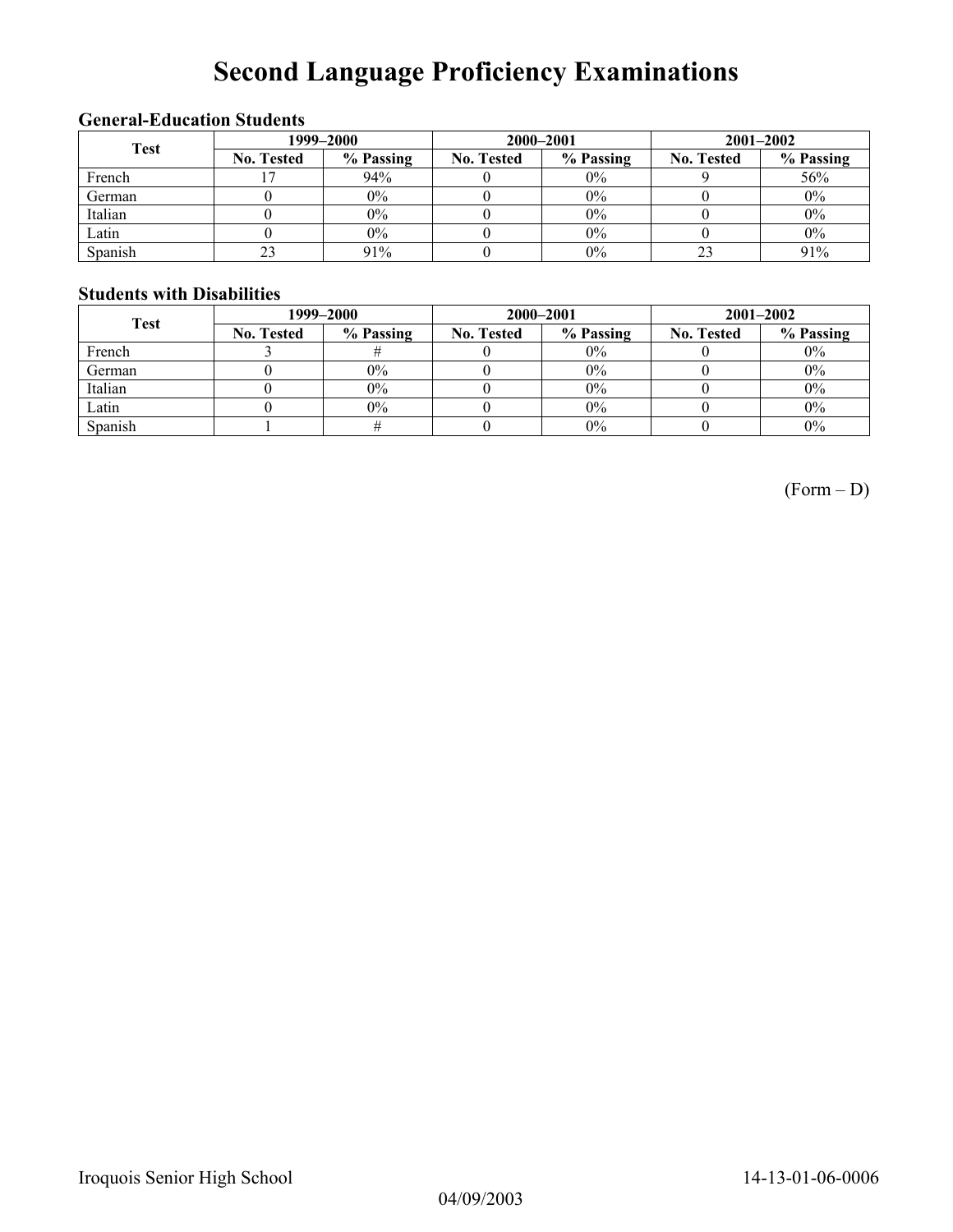# **Second Language Proficiency Examinations**

### **General-Education Students**

| <b>Test</b> | 1999–2000         |           |                   | 2000-2001 | $2001 - 2002$     |           |  |
|-------------|-------------------|-----------|-------------------|-----------|-------------------|-----------|--|
|             | <b>No. Tested</b> | % Passing | <b>No. Tested</b> | % Passing | <b>No. Tested</b> | % Passing |  |
| French      |                   | 94%       |                   | $0\%$     |                   | 56%       |  |
| German      |                   | 0%        |                   | $0\%$     |                   | $0\%$     |  |
| Italian     |                   | $0\%$     |                   | 0%        |                   | $0\%$     |  |
| Latin       |                   | $0\%$     |                   | $0\%$     |                   | $0\%$     |  |
| Spanish     |                   | 91%       |                   | 0%        |                   | 91%       |  |

### **Students with Disabilities**

| <b>Test</b> | 1999–2000         |           |                   | 2000-2001 | $2001 - 2002$     |           |  |
|-------------|-------------------|-----------|-------------------|-----------|-------------------|-----------|--|
|             | <b>No. Tested</b> | % Passing | <b>No. Tested</b> | % Passing | <b>No. Tested</b> | % Passing |  |
| French      |                   |           |                   | $0\%$     |                   | $0\%$     |  |
| German      |                   | $0\%$     |                   | $0\%$     |                   | $0\%$     |  |
| Italian     |                   | $0\%$     |                   | $0\%$     |                   | $0\%$     |  |
| Latin       |                   | $0\%$     |                   | $0\%$     |                   | 0%        |  |
| Spanish     |                   |           |                   | $0\%$     |                   | $0\%$     |  |

(Form – D)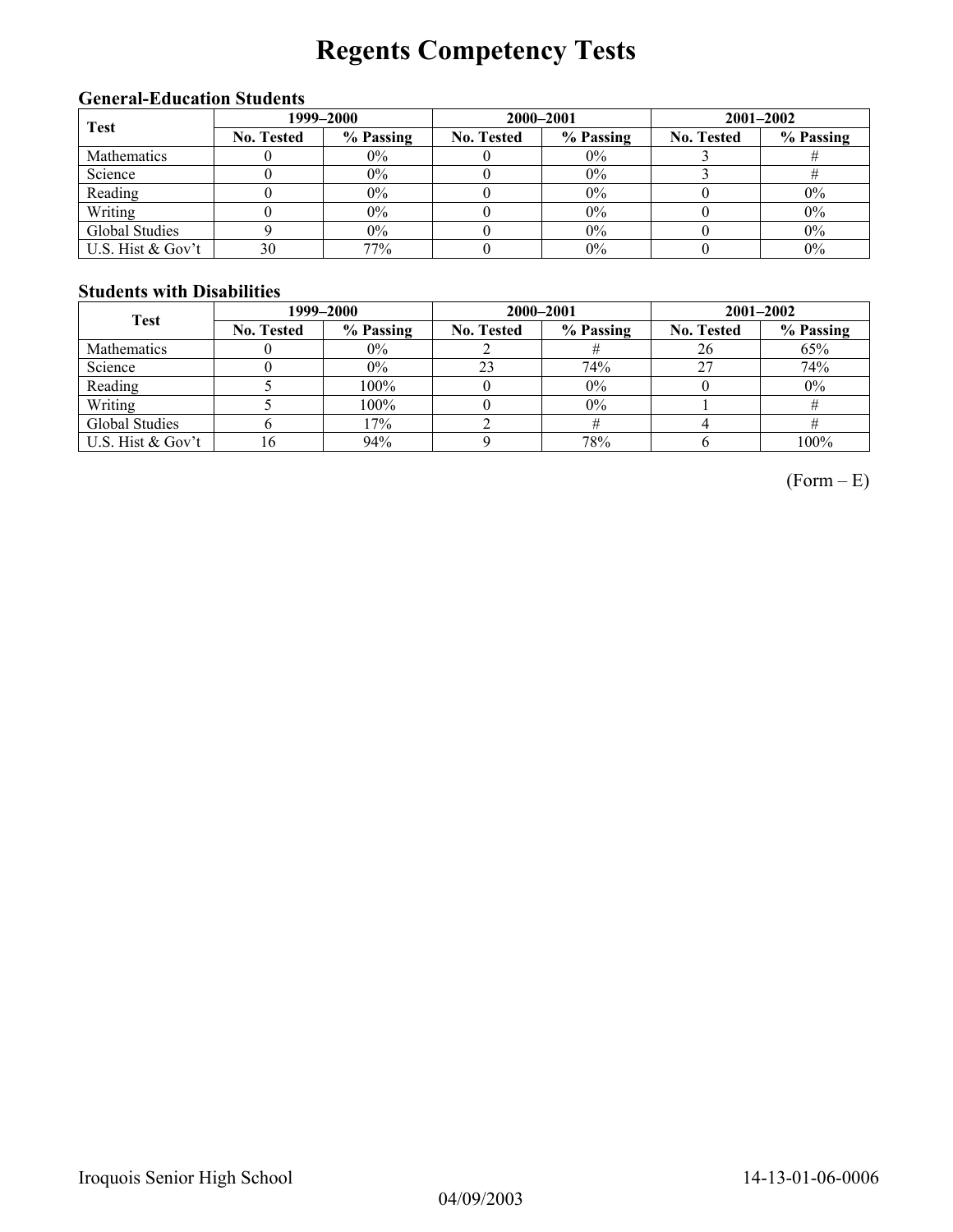# **Regents Competency Tests**

### **General-Education Students**

| <b>Test</b>       | 1999–2000         |           |                   | 2000-2001 | $2001 - 2002$     |           |  |
|-------------------|-------------------|-----------|-------------------|-----------|-------------------|-----------|--|
|                   | <b>No. Tested</b> | % Passing | <b>No. Tested</b> | % Passing | <b>No. Tested</b> | % Passing |  |
| Mathematics       |                   | $0\%$     |                   | $0\%$     |                   |           |  |
| Science           |                   | $0\%$     |                   | $0\%$     |                   |           |  |
| Reading           |                   | 0%        |                   | 0%        |                   | $0\%$     |  |
| Writing           |                   | 0%        |                   | 0%        |                   | $0\%$     |  |
| Global Studies    |                   | $0\%$     |                   | 0%        |                   | $0\%$     |  |
| U.S. Hist & Gov't | 30                | 77%       |                   | 0%        |                   | $0\%$     |  |

### **Students with Disabilities**

| <b>Test</b>       | 1999–2000         |           |                   | 2000-2001 | $2001 - 2002$     |           |  |
|-------------------|-------------------|-----------|-------------------|-----------|-------------------|-----------|--|
|                   | <b>No. Tested</b> | % Passing | <b>No. Tested</b> | % Passing | <b>No. Tested</b> | % Passing |  |
| Mathematics       |                   | $0\%$     |                   |           | 26                | 65%       |  |
| Science           |                   | $0\%$     | 23                | 74%       |                   | 74%       |  |
| Reading           |                   | 100%      |                   | $0\%$     |                   | $0\%$     |  |
| Writing           |                   | 100%      |                   | $0\%$     |                   |           |  |
| Global Studies    |                   | 17%       |                   |           |                   |           |  |
| U.S. Hist & Gov't | .6                | 94%       |                   | 78%       |                   | 100%      |  |

 $(Form - E)$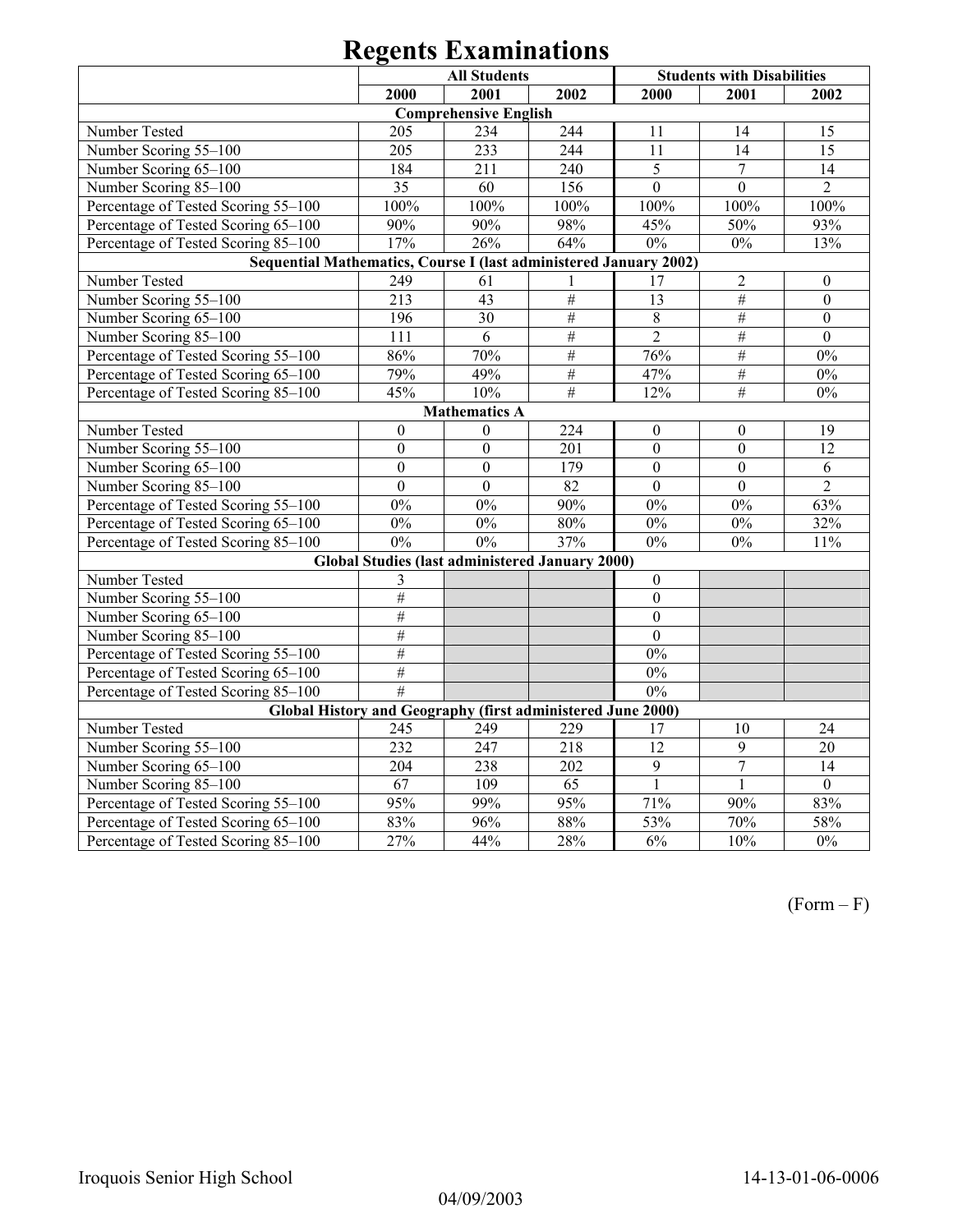|                                                                   |                  | <b>All Students</b>          | <b>Students with Disabilities</b>                      |                  |                  |                  |  |  |  |  |
|-------------------------------------------------------------------|------------------|------------------------------|--------------------------------------------------------|------------------|------------------|------------------|--|--|--|--|
|                                                                   | 2000             | 2001                         | 2002                                                   | 2000             | 2001             | 2002             |  |  |  |  |
|                                                                   |                  | <b>Comprehensive English</b> |                                                        |                  |                  |                  |  |  |  |  |
| Number Tested                                                     | 205              | 234                          | 244                                                    | 11               | 14               | 15               |  |  |  |  |
| Number Scoring 55-100                                             | 205              | 233                          | 244                                                    | 11               | 14               | 15               |  |  |  |  |
| Number Scoring 65-100                                             | 184              | 211                          | 240                                                    | 5                | $\overline{7}$   | 14               |  |  |  |  |
| Number Scoring 85-100                                             | 35               | 60                           | 156                                                    | $\mathbf{0}$     | $\mathbf{0}$     | $\overline{2}$   |  |  |  |  |
| Percentage of Tested Scoring 55-100                               | 100%             | 100%                         | 100%                                                   | 100%             | 100%             | 100%             |  |  |  |  |
| Percentage of Tested Scoring 65-100                               | 90%              | 90%                          | 98%                                                    | 45%              | 50%              | 93%              |  |  |  |  |
| Percentage of Tested Scoring 85-100                               | 17%              | 26%                          | 64%                                                    | $0\%$            | $0\%$            | 13%              |  |  |  |  |
| Sequential Mathematics, Course I (last administered January 2002) |                  |                              |                                                        |                  |                  |                  |  |  |  |  |
| Number Tested                                                     | 249              | 61                           |                                                        | 17               | $\overline{c}$   | $\boldsymbol{0}$ |  |  |  |  |
| Number Scoring 55-100                                             | 213              | 43                           | $\#$                                                   | $\overline{13}$  | $\overline{\#}$  | $\overline{0}$   |  |  |  |  |
| Number Scoring 65-100                                             | 196              | 30                           | $\#$                                                   | $\,8\,$          | $\#$             | $\boldsymbol{0}$ |  |  |  |  |
| Number Scoring 85-100                                             | 111              | 6                            | $\#$                                                   | $\overline{2}$   | $\#$             | $\boldsymbol{0}$ |  |  |  |  |
| Percentage of Tested Scoring 55-100                               | 86%              | $70\%$                       | $\#$                                                   | 76%              | $\overline{\#}$  | $0\%$            |  |  |  |  |
| Percentage of Tested Scoring 65-100                               | 79%              | 49%                          | $\overline{\#}$                                        | 47%              | $\#$             | 0%               |  |  |  |  |
| Percentage of Tested Scoring 85-100                               | 45%              | 10%                          | $\overline{\#}$                                        | 12%              | $\#$             | $0\%$            |  |  |  |  |
| <b>Mathematics A</b>                                              |                  |                              |                                                        |                  |                  |                  |  |  |  |  |
| Number Tested                                                     | $\boldsymbol{0}$ | $\mathbf{0}$                 | 224                                                    | $\boldsymbol{0}$ | $\boldsymbol{0}$ | 19               |  |  |  |  |
| Number Scoring 55-100                                             | $\mathbf{0}$     | $\mathbf{0}$                 | 201                                                    | $\mathbf{0}$     | $\mathbf{0}$     | $\overline{12}$  |  |  |  |  |
| Number Scoring 65-100                                             | $\mathbf{0}$     | $\overline{0}$               | 179                                                    | $\boldsymbol{0}$ | $\mathbf{0}$     | 6                |  |  |  |  |
| Number Scoring 85-100                                             | $\overline{0}$   | $\overline{0}$               | 82                                                     | $\mathbf{0}$     | $\mathbf{0}$     | $\overline{2}$   |  |  |  |  |
| Percentage of Tested Scoring 55-100                               | $0\%$            | $0\%$                        | 90%                                                    | $0\%$            | $0\%$            | 63%              |  |  |  |  |
| Percentage of Tested Scoring 65-100                               | $0\%$            | $0\%$                        | 80%                                                    | $0\%$            | $0\%$            | 32%              |  |  |  |  |
| Percentage of Tested Scoring 85-100                               | 0%               | 0%                           | 37%                                                    | $0\%$            | $0\%$            | 11%              |  |  |  |  |
|                                                                   |                  |                              | <b>Global Studies (last administered January 2000)</b> |                  |                  |                  |  |  |  |  |
| Number Tested                                                     | 3                |                              |                                                        | $\mathbf{0}$     |                  |                  |  |  |  |  |
| Number Scoring 55-100                                             | $\#$             |                              |                                                        | $\boldsymbol{0}$ |                  |                  |  |  |  |  |
| Number Scoring 65-100                                             | $\#$             |                              |                                                        | $\boldsymbol{0}$ |                  |                  |  |  |  |  |
| Number Scoring 85-100                                             | #                |                              |                                                        | $\overline{0}$   |                  |                  |  |  |  |  |
| Percentage of Tested Scoring 55-100                               | $\overline{\#}$  |                              |                                                        | $0\%$            |                  |                  |  |  |  |  |
| Percentage of Tested Scoring 65-100                               | $\overline{\#}$  |                              |                                                        | $0\%$            |                  |                  |  |  |  |  |
| Percentage of Tested Scoring 85-100                               | $\overline{\#}$  |                              |                                                        | 0%               |                  |                  |  |  |  |  |
| Global History and Geography (first administered June 2000)       |                  |                              |                                                        |                  |                  |                  |  |  |  |  |
| Number Tested                                                     | 245              | 249                          | 229                                                    | 17               | 10               | 24               |  |  |  |  |
| Number Scoring 55-100                                             | 232              | 247                          | 218                                                    | $\overline{12}$  | 9                | $\overline{20}$  |  |  |  |  |
| Number Scoring 65-100                                             | 204              | 238                          | 202                                                    | $\overline{9}$   | $\overline{7}$   | $\overline{14}$  |  |  |  |  |
| Number Scoring 85-100                                             | 67               | 109                          | 65                                                     | $\mathbf{1}$     | $\mathbf{1}$     | $\overline{0}$   |  |  |  |  |
| Percentage of Tested Scoring 55-100                               | 95%              | 99%                          | 95%                                                    | 71%              | 90%              | 83%              |  |  |  |  |
| Percentage of Tested Scoring 65-100                               | 83%              | 96%                          | $88\%$                                                 | 53%              | 70%              | 58%              |  |  |  |  |
| Percentage of Tested Scoring 85-100                               | $\frac{1}{27\%}$ | 44%                          | 28%                                                    | 6%               | 10%              | 0%               |  |  |  |  |

(Form – F)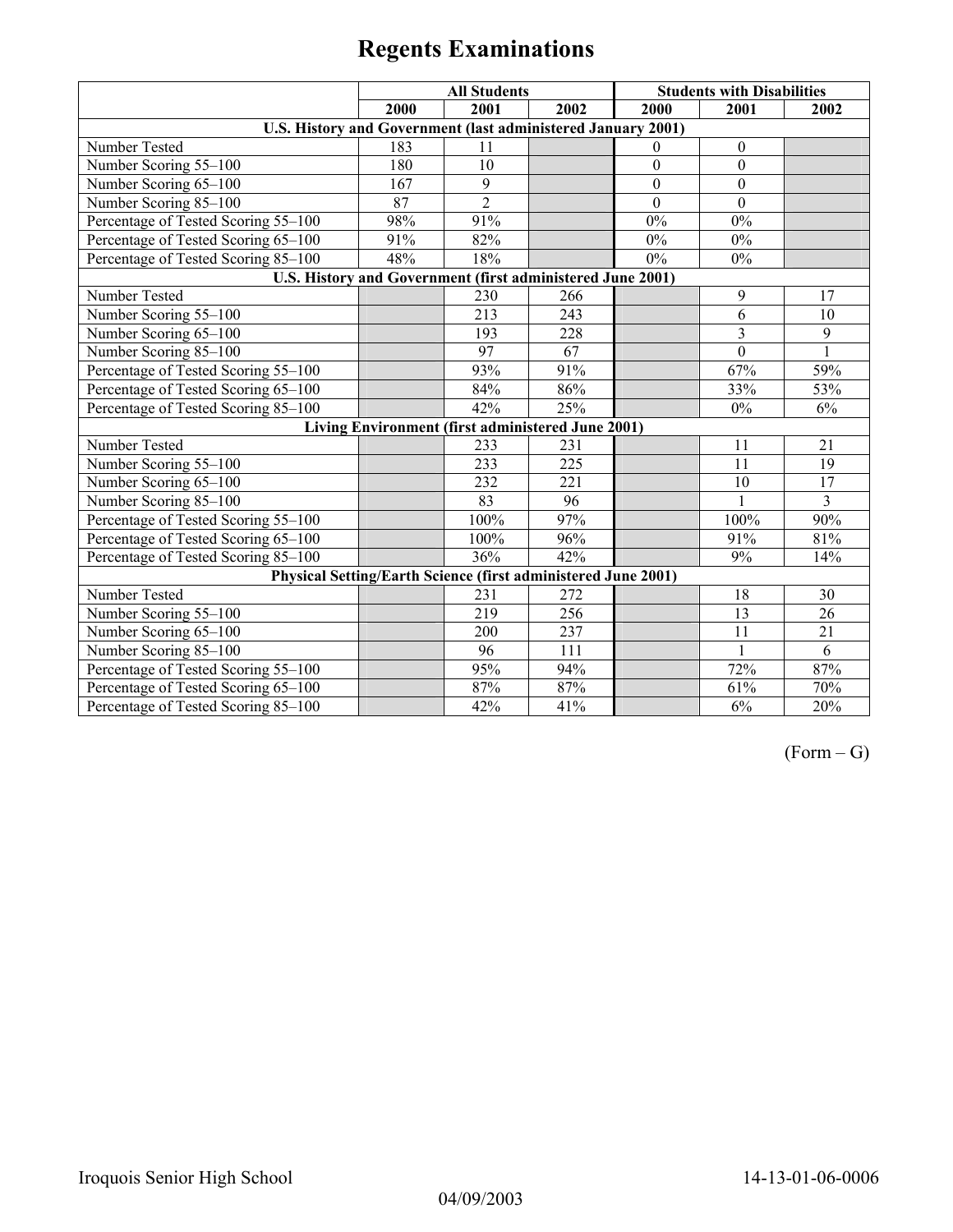|                                                               |      | <b>All Students</b>                               |        |                  | <b>Students with Disabilities</b> |                         |
|---------------------------------------------------------------|------|---------------------------------------------------|--------|------------------|-----------------------------------|-------------------------|
|                                                               | 2000 | 2001                                              | 2002   | 2000             | 2001                              | 2002                    |
| U.S. History and Government (last administered January 2001)  |      |                                                   |        |                  |                                   |                         |
| Number Tested                                                 | 183  | 11                                                |        | $\mathbf{0}$     | $\boldsymbol{0}$                  |                         |
| Number Scoring 55-100                                         | 180  | 10                                                |        | $\boldsymbol{0}$ | $\boldsymbol{0}$                  |                         |
| Number Scoring 65-100                                         | 167  | 9                                                 |        | $\boldsymbol{0}$ | $\mathbf{0}$                      |                         |
| Number Scoring 85-100                                         | 87   | $\overline{2}$                                    |        | $\Omega$         | $\theta$                          |                         |
| Percentage of Tested Scoring 55-100                           | 98%  | 91%                                               |        | $0\%$            | 0%                                |                         |
| Percentage of Tested Scoring 65-100                           | 91%  | 82%                                               |        | $0\%$            | 0%                                |                         |
| Percentage of Tested Scoring 85-100                           | 48%  | 18%                                               |        | $0\%$            | $0\%$                             |                         |
| U.S. History and Government (first administered June 2001)    |      |                                                   |        |                  |                                   |                         |
| Number Tested                                                 |      | 230                                               | 266    |                  | 9                                 | 17                      |
| Number Scoring 55-100                                         |      | 213                                               | 243    |                  | 6                                 | 10                      |
| Number Scoring 65-100                                         |      | 193                                               | 228    |                  | 3                                 | $\overline{9}$          |
| Number Scoring 85-100                                         |      | $\overline{97}$                                   | 67     |                  | $\overline{0}$                    | $\mathbf{1}$            |
| Percentage of Tested Scoring 55-100                           |      | 93%                                               | 91%    |                  | 67%                               | 59%                     |
| Percentage of Tested Scoring 65-100                           |      | 84%                                               | 86%    |                  | 33%                               | 53%                     |
| Percentage of Tested Scoring 85-100                           |      | 42%                                               | 25%    |                  | 0%                                | 6%                      |
|                                                               |      | Living Environment (first administered June 2001) |        |                  |                                   |                         |
| Number Tested                                                 |      | 233                                               | 231    |                  | 11                                | 21                      |
| Number Scoring 55-100                                         |      | 233                                               | 225    |                  | 11                                | 19                      |
| Number Scoring 65-100                                         |      | 232                                               | 221    |                  | 10                                | 17                      |
| Number Scoring 85-100                                         |      | 83                                                | 96     |                  | $\mathbf{1}$                      | $\overline{\mathbf{3}}$ |
| Percentage of Tested Scoring 55-100                           |      | 100%                                              | 97%    |                  | 100%                              | 90%                     |
| Percentage of Tested Scoring 65-100                           |      | 100%                                              | 96%    |                  | 91%                               | 81%                     |
| Percentage of Tested Scoring 85-100                           |      | 36%                                               | $42\%$ |                  | 9%                                | 14%                     |
| Physical Setting/Earth Science (first administered June 2001) |      |                                                   |        |                  |                                   |                         |
| Number Tested                                                 |      | 231                                               | 272    |                  | 18                                | 30                      |
| Number Scoring 55-100                                         |      | 219                                               | 256    |                  | 13                                | 26                      |
| Number Scoring 65-100                                         |      | 200                                               | 237    |                  | 11                                | 21                      |
| Number Scoring 85-100                                         |      | 96                                                | 111    |                  | $\mathbf{1}$                      | 6                       |
| Percentage of Tested Scoring 55-100                           |      | 95%                                               | 94%    |                  | 72%                               | 87%                     |
| Percentage of Tested Scoring 65-100                           |      | 87%                                               | 87%    |                  | 61%                               | 70%                     |
| Percentage of Tested Scoring 85-100                           |      | 42%                                               | 41%    |                  | 6%                                | 20%                     |

 $(Form - G)$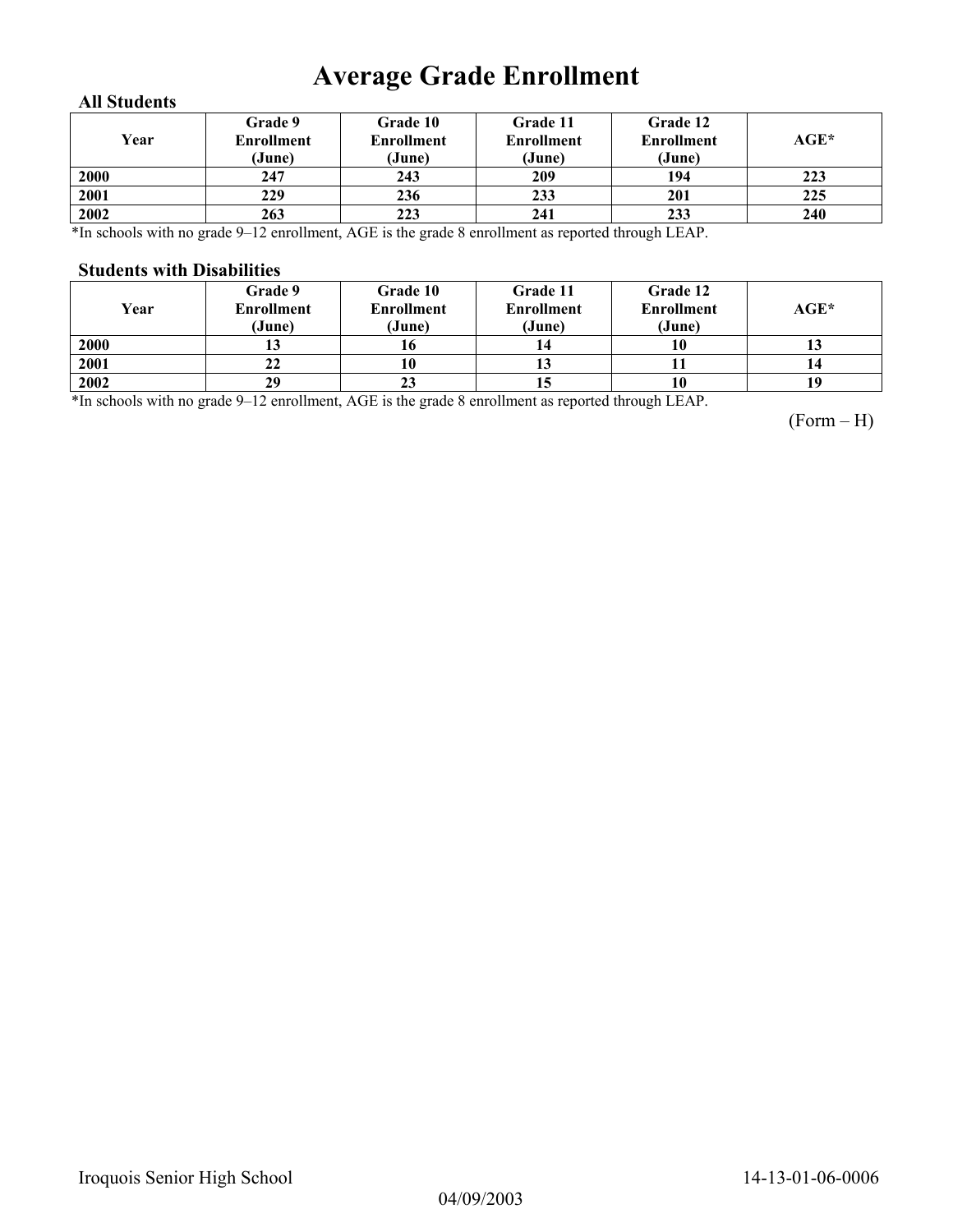# **Average Grade Enrollment**

### **All Students**

| Year | Grade 9<br>Enrollment<br>(June) | Grade 10<br>Enrollment<br>(June) | Grade 11<br><b>Enrollment</b><br>(June) | Grade 12<br><b>Enrollment</b><br>(June) | AGE* |
|------|---------------------------------|----------------------------------|-----------------------------------------|-----------------------------------------|------|
| 2000 | 247                             | 243                              | 209                                     | 194                                     | 223  |
| 2001 | 229                             | 236                              | 233                                     | 201                                     | 225  |
| 2002 | 263                             | 223                              | 241                                     | 233                                     | 240  |

\*In schools with no grade 9–12 enrollment, AGE is the grade 8 enrollment as reported through LEAP.

#### **Students with Disabilities**

| Year | Grade 9<br><b>Enrollment</b><br>(June) | <b>Grade 10</b><br><b>Enrollment</b><br>(June) | Grade 11<br><b>Enrollment</b><br>(June) | Grade 12<br><b>Enrollment</b><br>(June) | $AGE^*$ |
|------|----------------------------------------|------------------------------------------------|-----------------------------------------|-----------------------------------------|---------|
| 2000 |                                        |                                                |                                         | 10                                      |         |
| 2001 | 22                                     |                                                | 10                                      |                                         | 14      |
| 2002 | 29                                     | 23                                             | 13                                      | 10                                      | 19      |

\*In schools with no grade 9–12 enrollment, AGE is the grade 8 enrollment as reported through LEAP.

(Form – H)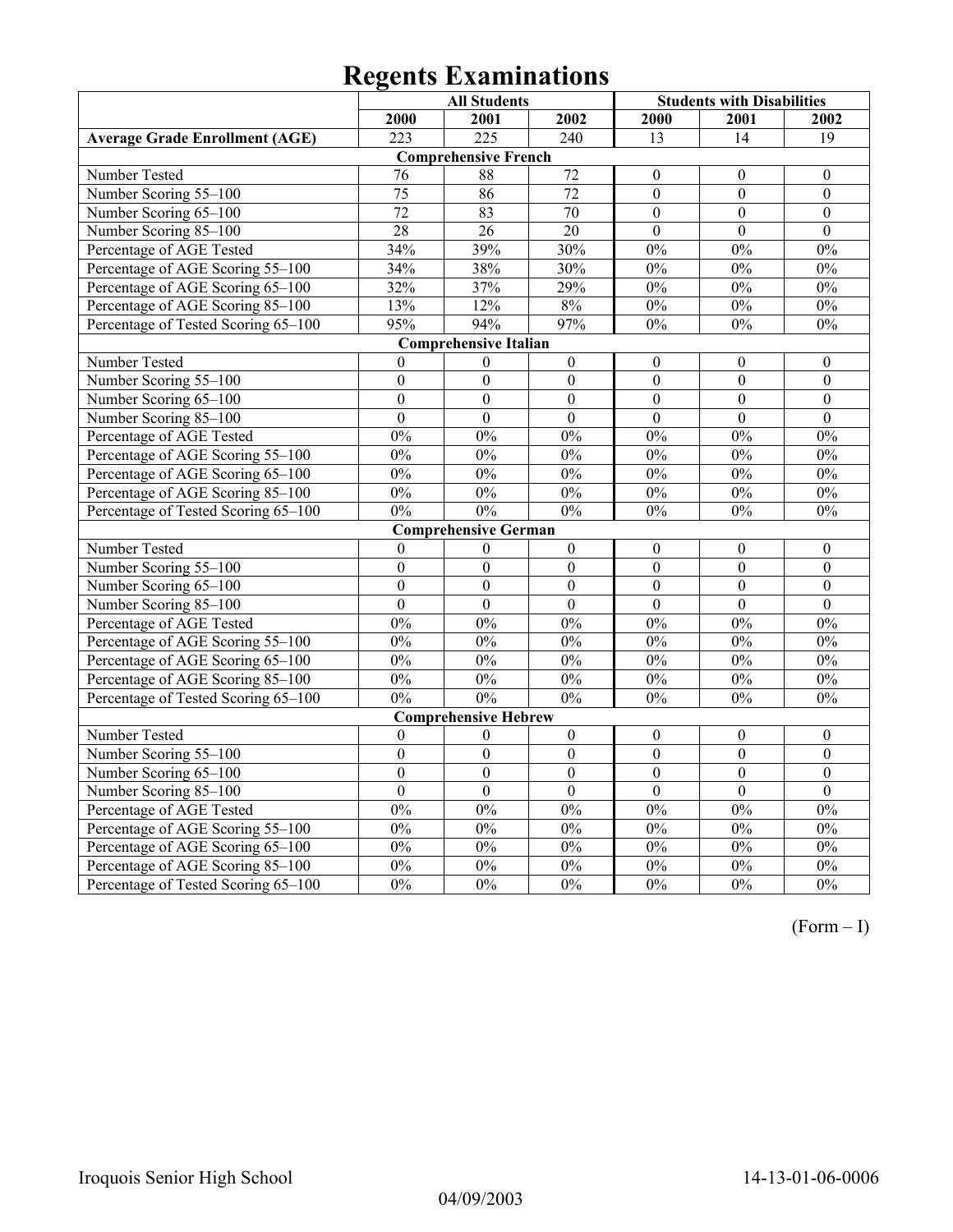|                                       | <b>All Students</b> |                              |                  | <b>Students with Disabilities</b> |                  |                  |
|---------------------------------------|---------------------|------------------------------|------------------|-----------------------------------|------------------|------------------|
|                                       | 2000                | 2001                         | 2002             | 2000                              | 2001             | 2002             |
| <b>Average Grade Enrollment (AGE)</b> | 223                 | $\overline{225}$             | 240              | 13                                | 14               | 19               |
|                                       |                     | <b>Comprehensive French</b>  |                  |                                   |                  |                  |
| Number Tested                         | 76                  | 88                           | 72               | $\theta$                          | $\boldsymbol{0}$ | $\boldsymbol{0}$ |
| Number Scoring 55-100                 | $\overline{75}$     | 86                           | $\overline{72}$  | $\overline{0}$                    | $\overline{0}$   | $\boldsymbol{0}$ |
| Number Scoring 65-100                 | $\overline{72}$     | 83                           | 70               | $\overline{0}$                    | $\overline{0}$   | $\boldsymbol{0}$ |
| Number Scoring 85-100                 | $\overline{28}$     | $\overline{26}$              | 20               | $\overline{0}$                    | $\theta$         | $\theta$         |
| Percentage of AGE Tested              | 34%                 | 39%                          | 30%              | 0%                                | $0\%$            | 0%               |
| Percentage of AGE Scoring 55-100      | 34%                 | 38%                          | 30%              | 0%                                | 0%               | 0%               |
| Percentage of AGE Scoring 65-100      | 32%                 | 37%                          | 29%              | $0\%$                             | $0\%$            | $0\%$            |
| Percentage of AGE Scoring 85-100      | 13%                 | 12%                          | 8%               | 0%                                | $0\%$            | $0\%$            |
| Percentage of Tested Scoring 65-100   | 95%                 | 94%                          | 97%              | 0%                                | 0%               | 0%               |
|                                       |                     | <b>Comprehensive Italian</b> |                  |                                   |                  |                  |
| Number Tested                         | $\theta$            | $\boldsymbol{0}$             | $\boldsymbol{0}$ | $\boldsymbol{0}$                  | $\boldsymbol{0}$ | $\boldsymbol{0}$ |
| Number Scoring 55-100                 | $\boldsymbol{0}$    | $\boldsymbol{0}$             | $\boldsymbol{0}$ | $\theta$                          | $\boldsymbol{0}$ | $\boldsymbol{0}$ |
| Number Scoring 65-100                 | $\mathbf{0}$        | $\overline{0}$               | $\mathbf{0}$     | $\overline{0}$                    | $\overline{0}$   | $\boldsymbol{0}$ |
| Number Scoring 85-100                 | $\overline{0}$      | $\overline{0}$               | $\overline{0}$   | $\overline{0}$                    | $\overline{0}$   | $\overline{0}$   |
| Percentage of AGE Tested              | 0%                  | 0%                           | 0%               | 0%                                | 0%               | 0%               |
| Percentage of AGE Scoring 55-100      | 0%                  | 0%                           | $0\%$            | 0%                                | $0\%$            | 0%               |
| Percentage of AGE Scoring 65-100      | 0%                  | 0%                           | 0%               | 0%                                | 0%               | 0%               |
| Percentage of AGE Scoring 85-100      | 0%                  | 0%                           | 0%               | 0%                                | $0\%$            | 0%               |
| Percentage of Tested Scoring 65-100   | 0%                  | $0\%$                        | 0%               | $0\%$                             | 0%               | $0\%$            |
|                                       |                     | <b>Comprehensive German</b>  |                  |                                   |                  |                  |
| Number Tested                         | $\theta$            | $\boldsymbol{0}$             | $\boldsymbol{0}$ | $\overline{0}$                    | $\boldsymbol{0}$ | $\boldsymbol{0}$ |
| Number Scoring 55-100                 | $\boldsymbol{0}$    | $\mathbf{0}$                 | $\boldsymbol{0}$ | $\mathbf{0}$                      | $\boldsymbol{0}$ | $\boldsymbol{0}$ |
| Number Scoring 65-100                 | $\mathbf{0}$        | $\overline{0}$               | $\overline{0}$   | $\overline{0}$                    | $\boldsymbol{0}$ | $\boldsymbol{0}$ |
| Number Scoring 85-100                 | $\theta$            | $\overline{0}$               | $\theta$         | $\overline{0}$                    | $\theta$         | $\theta$         |
| Percentage of AGE Tested              | 0%                  | 0%                           | 0%               | 0%                                | 0%               | 0%               |
| Percentage of AGE Scoring 55-100      | 0%                  | 0%                           | 0%               | 0%                                | 0%               | 0%               |
| Percentage of AGE Scoring 65-100      | $0\%$               | $0\%$                        | $0\%$            | $0\%$                             | $0\%$            | $0\%$            |
| Percentage of AGE Scoring 85-100      | 0%                  | 0%                           | 0%               | 0%                                | 0%               | 0%               |
| Percentage of Tested Scoring 65-100   | 0%                  | 0%                           | 0%               | 0%                                | 0%               | 0%               |
|                                       |                     | <b>Comprehensive Hebrew</b>  |                  |                                   |                  |                  |
| Number Tested                         | $\boldsymbol{0}$    | $\theta$                     | $\boldsymbol{0}$ | $\boldsymbol{0}$                  | $\boldsymbol{0}$ | $\boldsymbol{0}$ |
| Number Scoring 55-100                 | $\boldsymbol{0}$    | $\overline{0}$               | $\overline{0}$   | $\overline{0}$                    | $\overline{0}$   | $\overline{0}$   |
| Number Scoring 65-100                 | $\overline{0}$      | $\boldsymbol{0}$             | $\boldsymbol{0}$ | $\boldsymbol{0}$                  | $\boldsymbol{0}$ | $\boldsymbol{0}$ |
| Number Scoring 85-100                 | $\boldsymbol{0}$    | $\boldsymbol{0}$             | $\boldsymbol{0}$ | $\boldsymbol{0}$                  | $\boldsymbol{0}$ | $\boldsymbol{0}$ |
| Percentage of AGE Tested              | 0%                  | 0%                           | 0%               | 0%                                | 0%               | 0%               |
| Percentage of AGE Scoring 55-100      | 0%                  | 0%                           | 0%               | 0%                                | 0%               | 0%               |
| Percentage of AGE Scoring 65-100      | 0%                  | 0%                           | 0%               | 0%                                | 0%               | 0%               |
| Percentage of AGE Scoring 85-100      | $0\%$               | $0\%$                        | $0\%$            | $0\%$                             | $0\%$            | $0\%$            |
| Percentage of Tested Scoring 65-100   | 0%                  | $0\%$                        | 0%               | 0%                                | 0%               | 0%               |

(Form – I)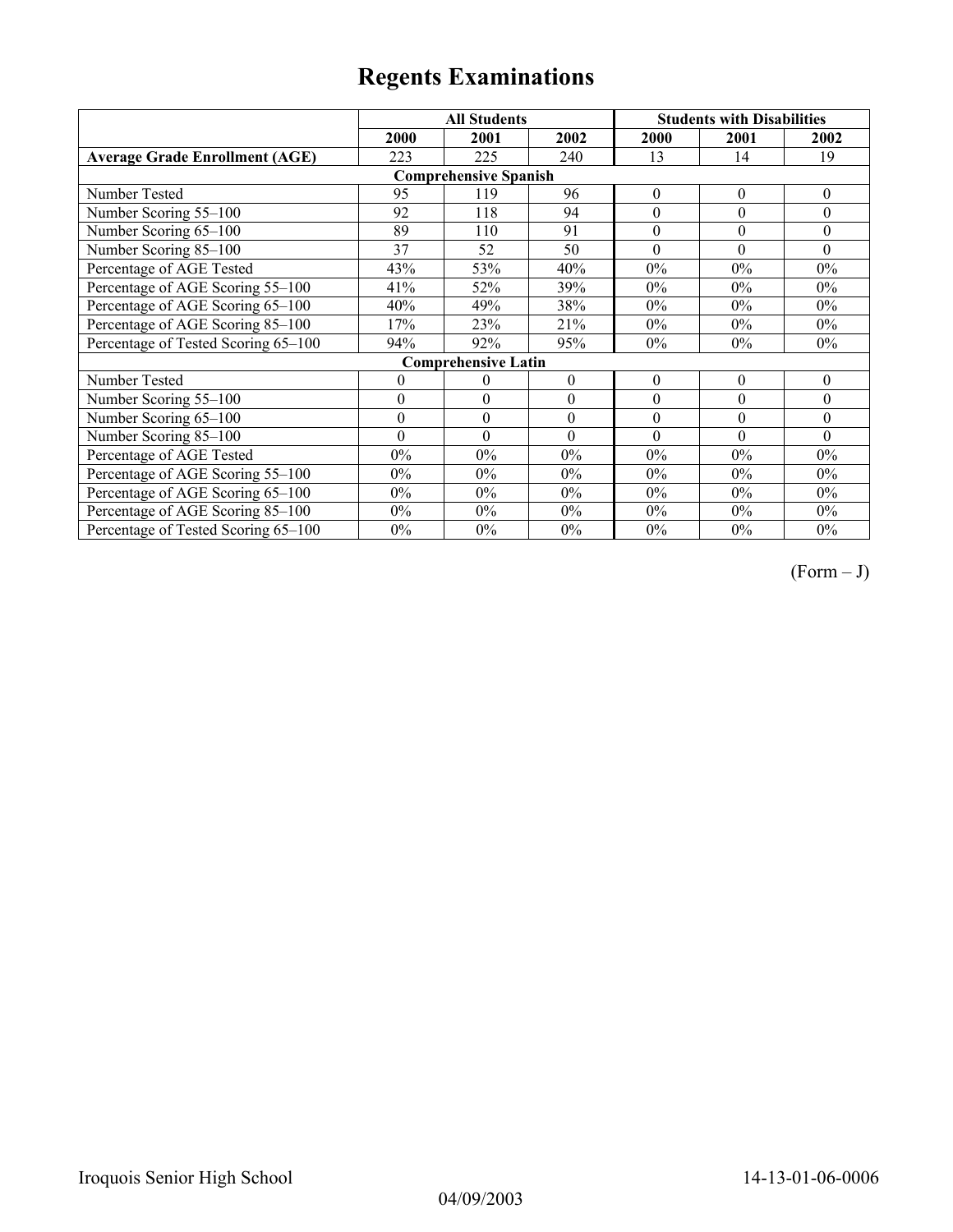|                                       |                  | <b>All Students</b>        |                  |                  | <b>Students with Disabilities</b> |              |  |  |  |
|---------------------------------------|------------------|----------------------------|------------------|------------------|-----------------------------------|--------------|--|--|--|
|                                       | 2000             | 2001                       | 2002             | 2000             | 2001                              | 2002         |  |  |  |
| <b>Average Grade Enrollment (AGE)</b> | 223              | 225                        | 240              | 13               | 14                                | 19           |  |  |  |
| <b>Comprehensive Spanish</b>          |                  |                            |                  |                  |                                   |              |  |  |  |
| Number Tested                         | 95               | 119                        | 96               | $\boldsymbol{0}$ | $\theta$                          | $\theta$     |  |  |  |
| Number Scoring 55-100                 | 92               | 118                        | 94               | $\boldsymbol{0}$ | $\boldsymbol{0}$                  | $\theta$     |  |  |  |
| Number Scoring 65-100                 | 89               | 110                        | 91               | $\theta$         | $\theta$                          | $\theta$     |  |  |  |
| Number Scoring 85-100                 | 37               | 52                         | 50               | $\theta$         | $\Omega$                          | $\Omega$     |  |  |  |
| Percentage of AGE Tested              | 43%              | 53%                        | 40%              | $0\%$            | $0\%$                             | $0\%$        |  |  |  |
| Percentage of AGE Scoring 55-100      | 41%              | 52%                        | 39%              | $0\%$            | $0\%$                             | $0\%$        |  |  |  |
| Percentage of AGE Scoring 65-100      | 40%              | 49%                        | 38%              | $0\%$            | $0\%$                             | $0\%$        |  |  |  |
| Percentage of AGE Scoring 85-100      | 17%              | 23%                        | 21%              | $0\%$            | $0\%$                             | $0\%$        |  |  |  |
| Percentage of Tested Scoring 65-100   | 94%              | 92%                        | 95%              | $0\%$            | $0\%$                             | $0\%$        |  |  |  |
|                                       |                  | <b>Comprehensive Latin</b> |                  |                  |                                   |              |  |  |  |
| Number Tested                         | $\mathbf{0}$     | 0                          | $\boldsymbol{0}$ | $\boldsymbol{0}$ | $\theta$                          | $\mathbf{0}$ |  |  |  |
| Number Scoring 55-100                 | $\theta$         | $\theta$                   | $\theta$         | $\theta$         | $\theta$                          | $\theta$     |  |  |  |
| Number Scoring 65-100                 | $\boldsymbol{0}$ | $\theta$                   | $\theta$         | $\theta$         | $\theta$                          | $\theta$     |  |  |  |
| Number Scoring 85-100                 | $\theta$         | $\theta$                   | $\theta$         | $\theta$         | $\theta$                          | $\Omega$     |  |  |  |
| Percentage of AGE Tested              | $0\%$            | $0\%$                      | $0\%$            | $0\%$            | $0\%$                             | $0\%$        |  |  |  |
| Percentage of AGE Scoring 55-100      | $0\%$            | $0\%$                      | $0\%$            | $0\%$            | $0\%$                             | $0\%$        |  |  |  |
| Percentage of AGE Scoring 65-100      | $0\%$            | $0\%$                      | $0\%$            | 0%               | $0\%$                             | $0\%$        |  |  |  |
| Percentage of AGE Scoring 85-100      | $0\%$            | $0\%$                      | $0\%$            | 0%               | $0\%$                             | $0\%$        |  |  |  |
| Percentage of Tested Scoring 65-100   | $0\%$            | $0\%$                      | $0\%$            | $0\%$            | $0\%$                             | $0\%$        |  |  |  |

 $(Form - J)$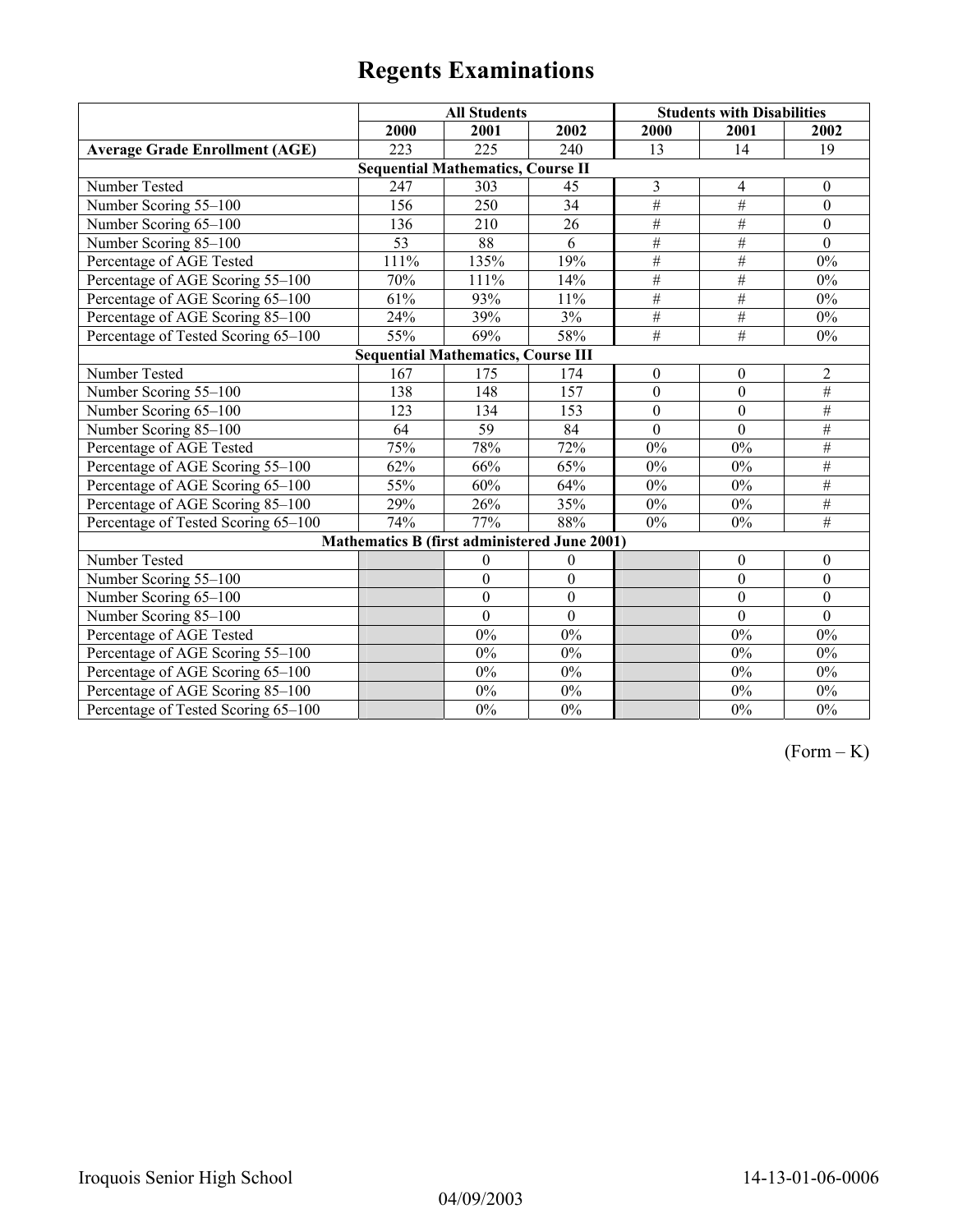|                                           | <b>All Students</b>                          |                  |                  | <b>Students with Disabilities</b> |                  |                  |  |
|-------------------------------------------|----------------------------------------------|------------------|------------------|-----------------------------------|------------------|------------------|--|
|                                           | 2000                                         | 2001             | 2002             | 2000                              | 2001             | 2002             |  |
| <b>Average Grade Enrollment (AGE)</b>     | 223                                          | 225              | 240              | 13                                | 14               | 19               |  |
|                                           | <b>Sequential Mathematics, Course II</b>     |                  |                  |                                   |                  |                  |  |
| Number Tested                             | 247                                          | 303              | 45               | 3                                 | 4                | $\boldsymbol{0}$ |  |
| Number Scoring 55-100                     | 156                                          | 250              | 34               | $\#$                              | $\overline{\#}$  | $\boldsymbol{0}$ |  |
| Number Scoring 65-100                     | 136                                          | 210              | 26               | $\#$                              | $\overline{H}$   | $\theta$         |  |
| Number Scoring 85-100                     | 53                                           | 88               | 6                | $\#$                              | $\overline{\#}$  | $\mathbf{0}$     |  |
| Percentage of AGE Tested                  | 111%                                         | 135%             | 19%              | $#$                               | #                | $0\%$            |  |
| Percentage of AGE Scoring 55-100          | 70%                                          | 111%             | 14%              | $\overline{\#}$                   | $\overline{\#}$  | $0\%$            |  |
| Percentage of AGE Scoring 65-100          | 61%                                          | 93%              | 11%              | #                                 | $\overline{\#}$  | $0\%$            |  |
| Percentage of AGE Scoring 85-100          | 24%                                          | 39%              | 3%               | $\#$                              | $\#$             | $0\%$            |  |
| Percentage of Tested Scoring 65-100       | 55%                                          | 69%              | 58%              | $\overline{\#}$                   | $\overline{\#}$  | $0\%$            |  |
| <b>Sequential Mathematics, Course III</b> |                                              |                  |                  |                                   |                  |                  |  |
| Number Tested                             | 167                                          | 175              | 174              | $\boldsymbol{0}$                  | $\boldsymbol{0}$ | $\overline{2}$   |  |
| Number Scoring 55-100                     | 138                                          | $\overline{148}$ | 157              | $\overline{0}$                    | $\overline{0}$   | $\#$             |  |
| Number Scoring 65-100                     | 123                                          | 134              | 153              | $\mathbf{0}$                      | $\mathbf{0}$     | $\overline{\#}$  |  |
| Number Scoring 85-100                     | 64                                           | 59               | 84               | $\Omega$                          | $\Omega$         | #                |  |
| Percentage of AGE Tested                  | 75%                                          | 78%              | 72%              | $0\%$                             | $0\%$            | $\#$             |  |
| Percentage of AGE Scoring 55-100          | 62%                                          | 66%              | 65%              | 0%                                | $0\%$            | $\#$             |  |
| Percentage of AGE Scoring 65-100          | 55%                                          | 60%              | 64%              | 0%                                | $0\%$            | #                |  |
| Percentage of AGE Scoring 85-100          | 29%                                          | 26%              | 35%              | $0\%$                             | $0\%$            | #                |  |
| Percentage of Tested Scoring 65-100       | 74%                                          | 77%              | 88%              | $0\%$                             | $0\%$            | $\overline{H}$   |  |
|                                           | Mathematics B (first administered June 2001) |                  |                  |                                   |                  |                  |  |
| Number Tested                             |                                              | $\boldsymbol{0}$ | $\theta$         |                                   | $\mathbf{0}$     | $\boldsymbol{0}$ |  |
| Number Scoring 55-100                     |                                              | $\theta$         | $\mathbf{0}$     |                                   | $\mathbf{0}$     | $\overline{0}$   |  |
| Number Scoring 65-100                     |                                              | $\boldsymbol{0}$ | $\boldsymbol{0}$ |                                   | $\boldsymbol{0}$ | $\boldsymbol{0}$ |  |
| Number Scoring 85-100                     |                                              | $\mathbf{0}$     | $\boldsymbol{0}$ |                                   | $\mathbf{0}$     | $\boldsymbol{0}$ |  |
| Percentage of AGE Tested                  |                                              | 0%               | $0\%$            |                                   | 0%               | $0\%$            |  |
| Percentage of AGE Scoring 55-100          |                                              | 0%               | $0\%$            |                                   | 0%               | $0\%$            |  |
| Percentage of AGE Scoring 65-100          |                                              | $0\%$            | $0\%$            |                                   | $0\%$            | $0\%$            |  |
| Percentage of AGE Scoring 85-100          |                                              | $0\%$            | $0\%$            |                                   | $0\%$            | $0\%$            |  |
| Percentage of Tested Scoring 65-100       |                                              | $0\%$            | $0\%$            |                                   | $0\%$            | $0\%$            |  |

 $(Form - K)$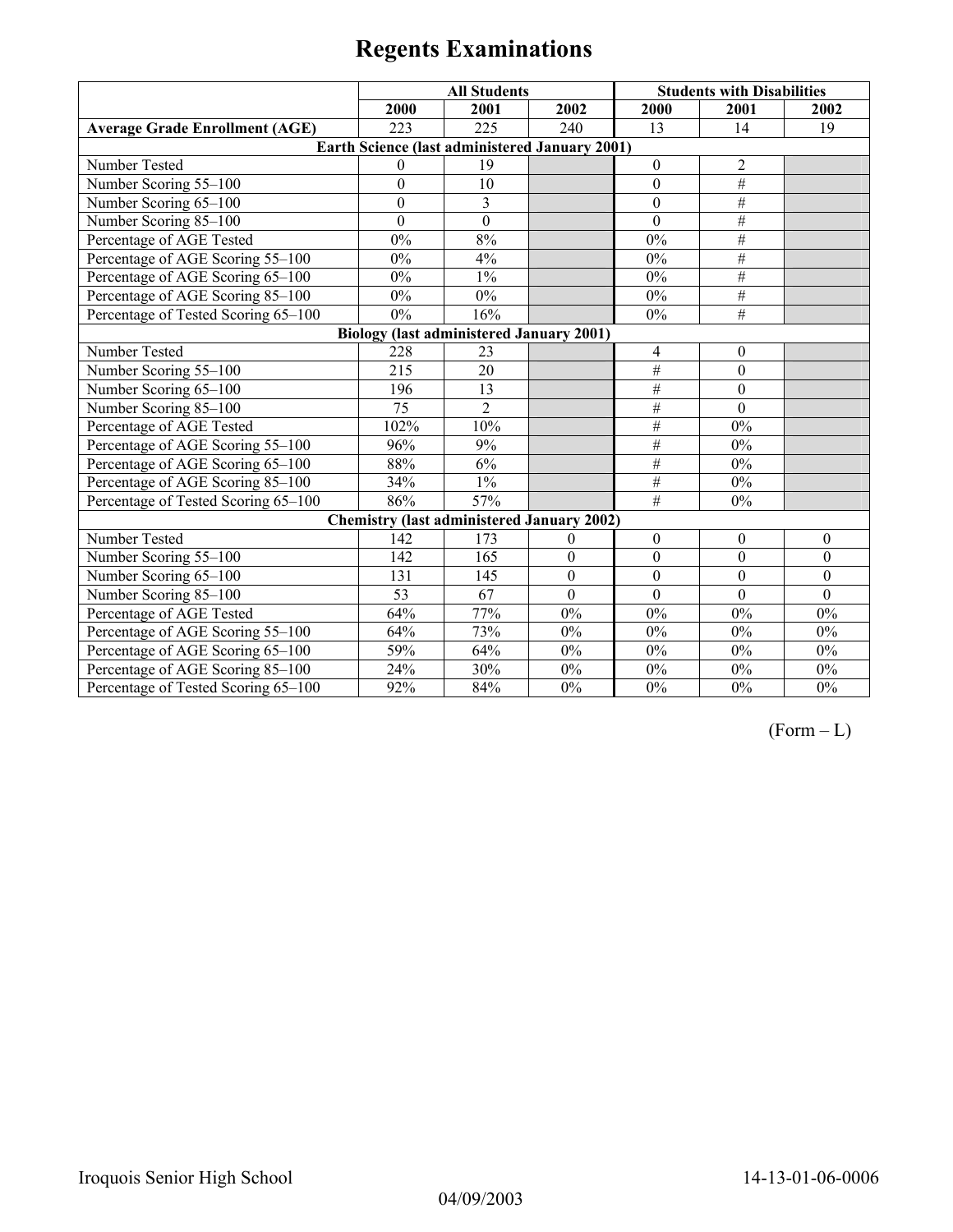|                                                 | <b>All Students</b> |                                                   |              |                  | <b>Students with Disabilities</b> |          |  |
|-------------------------------------------------|---------------------|---------------------------------------------------|--------------|------------------|-----------------------------------|----------|--|
|                                                 | 2000                | 2001                                              | 2002         | 2000             | 2001                              | 2002     |  |
| <b>Average Grade Enrollment (AGE)</b>           | 223                 | 225                                               | 240          | 13               | 14                                | 19       |  |
|                                                 |                     | Earth Science (last administered January 2001)    |              |                  |                                   |          |  |
| Number Tested                                   | $\theta$            | 19                                                |              | $\mathbf{0}$     | $\overline{2}$                    |          |  |
| Number Scoring 55-100                           | $\boldsymbol{0}$    | 10                                                |              | $\mathbf{0}$     | $\overline{\#}$                   |          |  |
| Number Scoring 65-100                           | $\boldsymbol{0}$    | $\overline{3}$                                    |              | $\boldsymbol{0}$ | $\overline{+}$                    |          |  |
| Number Scoring 85-100                           | $\boldsymbol{0}$    | $\boldsymbol{0}$                                  |              | $\theta$         | $\overline{\#}$                   |          |  |
| Percentage of AGE Tested                        | $0\%$               | 8%                                                |              | 0%               | $\overline{\#}$                   |          |  |
| Percentage of AGE Scoring 55-100                | $0\%$               | 4%                                                |              | $0\%$            | #                                 |          |  |
| Percentage of AGE Scoring 65-100                | $0\%$               | $1\%$                                             |              | $0\%$            | #                                 |          |  |
| Percentage of AGE Scoring 85-100                | $0\%$               | $0\%$                                             |              | $0\%$            | $\overline{\#}$                   |          |  |
| Percentage of Tested Scoring 65-100             | $0\%$               | 16%                                               |              | $0\%$            | #                                 |          |  |
| <b>Biology (last administered January 2001)</b> |                     |                                                   |              |                  |                                   |          |  |
| Number Tested                                   | 228                 | 23                                                |              | 4                | $\boldsymbol{0}$                  |          |  |
| Number Scoring 55-100                           | 215                 | 20                                                |              | $\overline{\#}$  | $\mathbf{0}$                      |          |  |
| Number Scoring 65-100                           | 196                 | 13                                                |              | $\#$             | $\mathbf{0}$                      |          |  |
| Number Scoring 85-100                           | 75                  | $\overline{2}$                                    |              | #                | $\mathbf{0}$                      |          |  |
| Percentage of AGE Tested                        | 102%                | 10%                                               |              | #                | $0\%$                             |          |  |
| Percentage of AGE Scoring 55-100                | 96%                 | 9%                                                |              | #                | $0\%$                             |          |  |
| Percentage of AGE Scoring 65-100                | 88%                 | 6%                                                |              | #                | $0\%$                             |          |  |
| Percentage of AGE Scoring 85-100                | 34%                 | $1\%$                                             |              | $\#$             | $0\%$                             |          |  |
| Percentage of Tested Scoring 65-100             | 86%                 | 57%                                               |              | $\overline{\#}$  | $0\%$                             |          |  |
|                                                 |                     | <b>Chemistry (last administered January 2002)</b> |              |                  |                                   |          |  |
| Number Tested                                   | 142                 | 173                                               | $\theta$     | $\theta$         | $\boldsymbol{0}$                  | $\theta$ |  |
| Number Scoring 55-100                           | 142                 | 165                                               | $\theta$     | $\boldsymbol{0}$ | $\theta$                          | $\theta$ |  |
| Number Scoring 65-100                           | 131                 | 145                                               | $\mathbf{0}$ | $\mathbf{0}$     | $\theta$                          | $\theta$ |  |
| Number Scoring 85-100                           | 53                  | 67                                                | $\theta$     | $\theta$         | $\theta$                          | $\theta$ |  |
| Percentage of AGE Tested                        | 64%                 | 77%                                               | 0%           | $0\%$            | $0\%$                             | $0\%$    |  |
| Percentage of AGE Scoring 55-100                | 64%                 | 73%                                               | $0\%$        | $0\%$            | $0\%$                             | $0\%$    |  |
| Percentage of AGE Scoring 65-100                | 59%                 | 64%                                               | $0\%$        | $0\%$            | 0%                                | 0%       |  |
| Percentage of AGE Scoring 85-100                | 24%                 | 30%                                               | $0\%$        | $0\%$            | 0%                                | $0\%$    |  |
| Percentage of Tested Scoring 65-100             | 92%                 | 84%                                               | 0%           | 0%               | 0%                                | 0%       |  |

 $(Form - L)$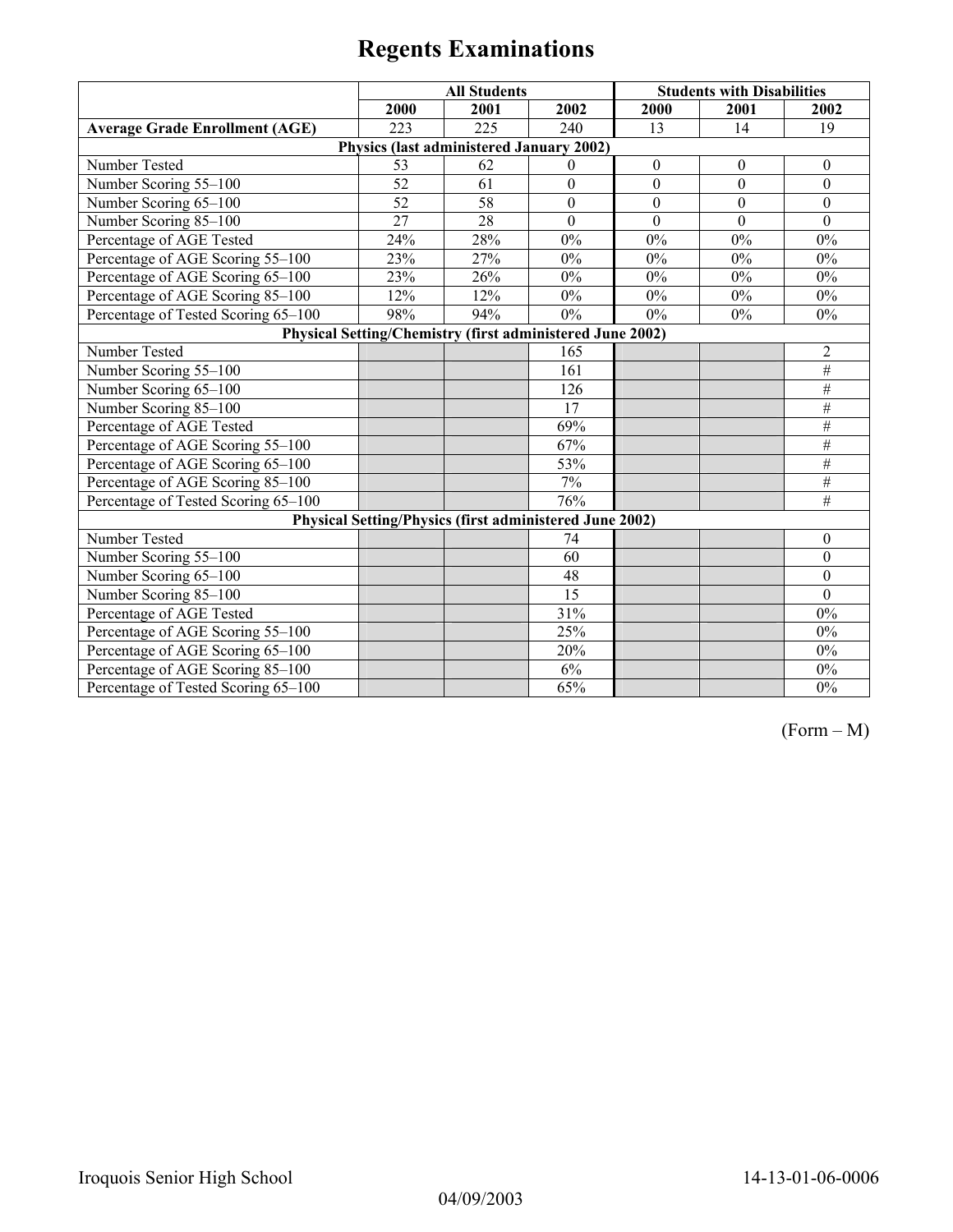|                                       | <b>All Students</b> |                                                           |                | <b>Students with Disabilities</b> |              |                  |
|---------------------------------------|---------------------|-----------------------------------------------------------|----------------|-----------------------------------|--------------|------------------|
|                                       | 2000                | 2001                                                      | 2002           | 2000                              | 2001         | 2002             |
| <b>Average Grade Enrollment (AGE)</b> | 223                 | 225                                                       | 240            | 13                                | 14           | 19               |
|                                       |                     | Physics (last administered January 2002)                  |                |                                   |              |                  |
| Number Tested                         | 53                  | 62                                                        | $\Omega$       | $\mathbf{0}$                      | $\theta$     | $\theta$         |
| Number Scoring 55-100                 | 52                  | $\overline{61}$                                           | $\overline{0}$ | $\overline{0}$                    | $\mathbf{0}$ | $\overline{0}$   |
| Number Scoring 65-100                 | 52                  | $\overline{58}$                                           | $\mathbf{0}$   | $\mathbf{0}$                      | $\mathbf{0}$ | $\theta$         |
| Number Scoring 85-100                 | $\overline{27}$     | 28                                                        | $\mathbf{0}$   | $\mathbf{0}$                      | $\mathbf{0}$ | $\overline{0}$   |
| Percentage of AGE Tested              | 24%                 | 28%                                                       | 0%             | 0%                                | $0\%$        | $0\%$            |
| Percentage of AGE Scoring 55-100      | 23%                 | 27%                                                       | $0\%$          | $0\%$                             | $0\%$        | $0\%$            |
| Percentage of AGE Scoring 65-100      | 23%                 | 26%                                                       | $0\%$          | $0\%$                             | $0\%$        | $0\%$            |
| Percentage of AGE Scoring 85-100      | 12%                 | 12%                                                       | $0\%$          | $0\%$                             | $0\%$        | $0\%$            |
| Percentage of Tested Scoring 65-100   | 98%                 | 94%                                                       | $0\%$          | $0\%$                             | $0\%$        | $0\%$            |
|                                       |                     | Physical Setting/Chemistry (first administered June 2002) |                |                                   |              |                  |
| Number Tested                         |                     |                                                           | 165            |                                   |              | $\overline{2}$   |
| Number Scoring 55-100                 |                     |                                                           | 161            |                                   |              | $\#$             |
| Number Scoring 65-100                 |                     |                                                           | 126            |                                   |              | $\#$             |
| Number Scoring 85-100                 |                     |                                                           | 17             |                                   |              | $\#$             |
| Percentage of AGE Tested              |                     |                                                           | 69%            |                                   |              | #                |
| Percentage of AGE Scoring 55-100      |                     |                                                           | 67%            |                                   |              | #                |
| Percentage of AGE Scoring 65-100      |                     |                                                           | 53%            |                                   |              | $\#$             |
| Percentage of AGE Scoring 85-100      |                     |                                                           | 7%             |                                   |              | #                |
| Percentage of Tested Scoring 65-100   |                     |                                                           | 76%            |                                   |              | #                |
|                                       |                     | Physical Setting/Physics (first administered June 2002)   |                |                                   |              |                  |
| Number Tested                         |                     |                                                           | 74             |                                   |              | $\boldsymbol{0}$ |
| Number Scoring 55-100                 |                     |                                                           | 60             |                                   |              | $\boldsymbol{0}$ |
| Number Scoring 65-100                 |                     |                                                           | 48             |                                   |              | $\boldsymbol{0}$ |
| Number Scoring 85-100                 |                     |                                                           | 15             |                                   |              | $\theta$         |
| Percentage of AGE Tested              |                     |                                                           | 31%            |                                   |              | $0\%$            |
| Percentage of AGE Scoring 55-100      |                     |                                                           | 25%            |                                   |              | $0\%$            |
| Percentage of AGE Scoring 65-100      |                     |                                                           | 20%            |                                   |              | $0\%$            |
| Percentage of AGE Scoring 85-100      |                     |                                                           | 6%             |                                   |              | $0\%$            |
| Percentage of Tested Scoring 65-100   |                     |                                                           | 65%            |                                   |              | $0\%$            |

(Form – M)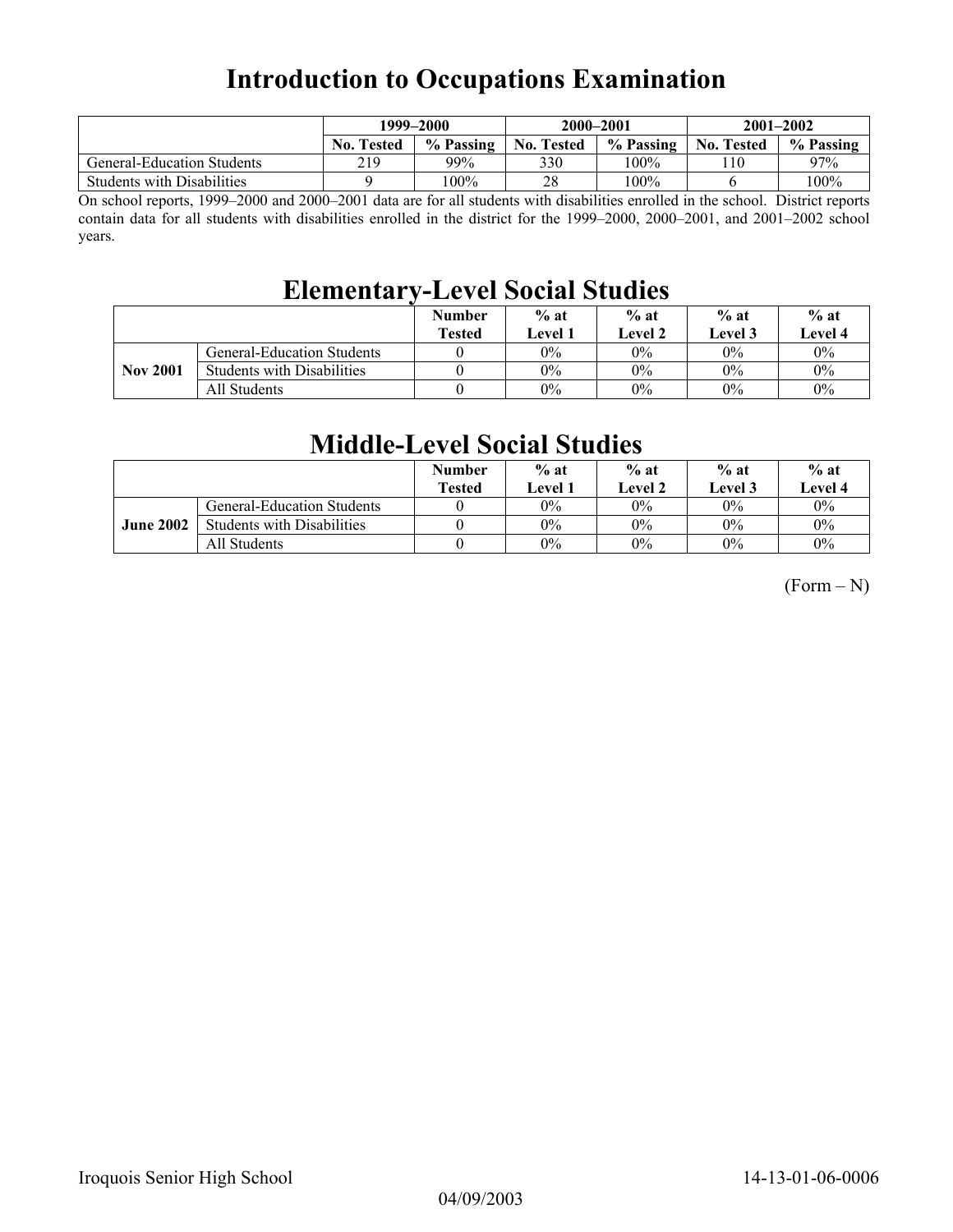## **Introduction to Occupations Examination**

|                                   | 1999–2000         |           | 2000-2001         |           | $2001 - 2002$     |           |
|-----------------------------------|-------------------|-----------|-------------------|-----------|-------------------|-----------|
|                                   | <b>No. Tested</b> | % Passing | <b>No. Tested</b> | % Passing | <b>No. Tested</b> | % Passing |
| <b>General-Education Students</b> | 219               | 99%       | 330               | 100%      | -10               | 97%       |
| <b>Students with Disabilities</b> |                   | 100%      | 28                | 100%      |                   | 100%      |

On school reports, 1999–2000 and 2000–2001 data are for all students with disabilities enrolled in the school. District reports contain data for all students with disabilities enrolled in the district for the 1999–2000, 2000–2001, and 2001–2002 school years.

## **Elementary-Level Social Studies**

|                 |                                   | <b>Number</b><br><b>Tested</b> | $%$ at<br>Level 1 | $%$ at<br><b>Level 2</b> | $%$ at<br>Level 3 | $%$ at<br><b>Level 4</b> |
|-----------------|-----------------------------------|--------------------------------|-------------------|--------------------------|-------------------|--------------------------|
|                 | <b>General-Education Students</b> |                                | 0%                | $0\%$                    | $0\%$             | $0\%$                    |
| <b>Nov 2001</b> | <b>Students with Disabilities</b> |                                | $0\%$             | $0\%$                    | $0\%$             | $0\%$                    |
|                 | All Students                      |                                | 0%                | $0\%$                    | $0\%$             | $0\%$                    |

## **Middle-Level Social Studies**

|                  |                                   | <b>Number</b><br><b>Tested</b> | $%$ at<br><b>Level</b> 1 | $%$ at<br>Level 2 | $%$ at<br>Level 3 | $%$ at<br>Level 4 |
|------------------|-----------------------------------|--------------------------------|--------------------------|-------------------|-------------------|-------------------|
|                  | <b>General-Education Students</b> |                                | $0\%$                    | $0\%$             | $0\%$             | $0\%$             |
| <b>June 2002</b> | <b>Students with Disabilities</b> |                                | $0\%$                    | $0\%$             | $0\%$             | $0\%$             |
|                  | All Students                      |                                | $0\%$                    | $0\%$             | $0\%$             | $0\%$             |

 $(Form - N)$